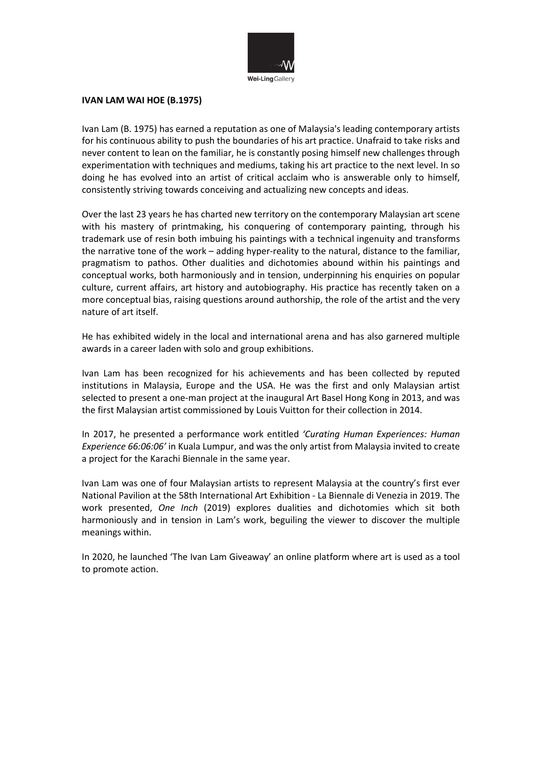

#### **IVAN LAM WAI HOE (B.1975)**

Ivan Lam (B. 1975) has earned a reputation as one of Malaysia's leading contemporary artists for his continuous ability to push the boundaries of his art practice. Unafraid to take risks and never content to lean on the familiar, he is constantly posing himself new challenges through experimentation with techniques and mediums, taking his art practice to the next level. In so doing he has evolved into an artist of critical acclaim who is answerable only to himself, consistently striving towards conceiving and actualizing new concepts and ideas.

Over the last 23 years he has charted new territory on the contemporary Malaysian art scene with his mastery of printmaking, his conquering of contemporary painting, through his trademark use of resin both imbuing his paintings with a technical ingenuity and transforms the narrative tone of the work – adding hyper-reality to the natural, distance to the familiar, pragmatism to pathos. Other dualities and dichotomies abound within his paintings and conceptual works, both harmoniously and in tension, underpinning his enquiries on popular culture, current affairs, art history and autobiography. His practice has recently taken on a more conceptual bias, raising questions around authorship, the role of the artist and the very nature of art itself.

He has exhibited widely in the local and international arena and has also garnered multiple awards in a career laden with solo and group exhibitions.

Ivan Lam has been recognized for his achievements and has been collected by reputed institutions in Malaysia, Europe and the USA. He was the first and only Malaysian artist selected to present a one-man project at the inaugural Art Basel Hong Kong in 2013, and was the first Malaysian artist commissioned by Louis Vuitton for their collection in 2014.

In 2017, he presented a performance work entitled *'Curating Human Experiences: Human Experience 66:06:06'* in Kuala Lumpur, and was the only artist from Malaysia invited to create a project for the Karachi Biennale in the same year.

Ivan Lam was one of four Malaysian artists to represent Malaysia at the country's first ever National Pavilion at the 58th International Art Exhibition - La Biennale di Venezia in 2019. The work presented, *One Inch* (2019) explores dualities and dichotomies which sit both harmoniously and in tension in Lam's work, beguiling the viewer to discover the multiple meanings within.

In 2020, he launched 'The Ivan Lam Giveaway' an online platform where art is used as a tool to promote action.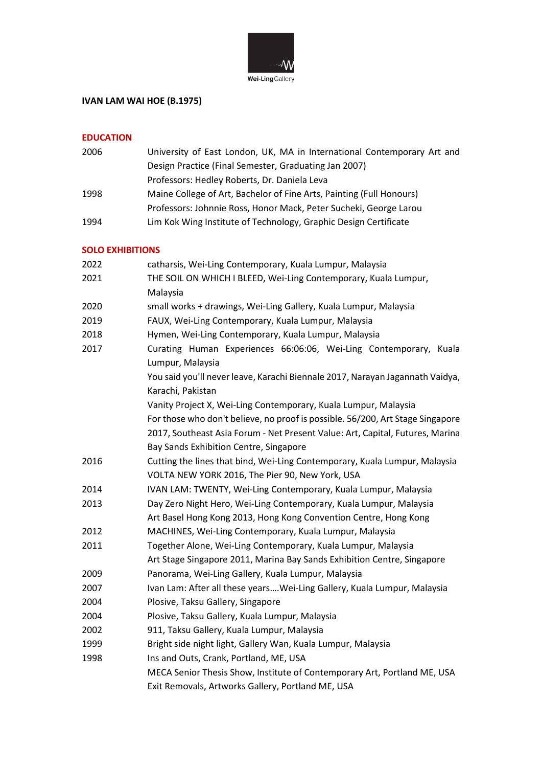

# **IVAN LAM WAI HOE (B.1975)**

## **EDUCATION**

| 2006 | University of East London, UK, MA in International Contemporary Art and |
|------|-------------------------------------------------------------------------|
|      | Design Practice (Final Semester, Graduating Jan 2007)                   |
|      | Professors: Hedley Roberts, Dr. Daniela Leva                            |
| 1998 | Maine College of Art, Bachelor of Fine Arts, Painting (Full Honours)    |
|      | Professors: Johnnie Ross, Honor Mack, Peter Sucheki, George Larou       |
| 1994 | Lim Kok Wing Institute of Technology, Graphic Design Certificate        |

#### **SOLO EXHIBITIONS**

| JULU LANIDI HUNJ |                                                                                |
|------------------|--------------------------------------------------------------------------------|
| 2022             | catharsis, Wei-Ling Contemporary, Kuala Lumpur, Malaysia                       |
| 2021             | THE SOIL ON WHICH I BLEED, Wei-Ling Contemporary, Kuala Lumpur,                |
|                  | Malaysia                                                                       |
| 2020             | small works + drawings, Wei-Ling Gallery, Kuala Lumpur, Malaysia               |
| 2019             | FAUX, Wei-Ling Contemporary, Kuala Lumpur, Malaysia                            |
| 2018             | Hymen, Wei-Ling Contemporary, Kuala Lumpur, Malaysia                           |
| 2017             | Curating Human Experiences 66:06:06, Wei-Ling Contemporary, Kuala              |
|                  | Lumpur, Malaysia                                                               |
|                  | You said you'll never leave, Karachi Biennale 2017, Narayan Jagannath Vaidya,  |
|                  | Karachi, Pakistan                                                              |
|                  | Vanity Project X, Wei-Ling Contemporary, Kuala Lumpur, Malaysia                |
|                  | For those who don't believe, no proof is possible. 56/200, Art Stage Singapore |
|                  | 2017, Southeast Asia Forum - Net Present Value: Art, Capital, Futures, Marina  |
|                  | Bay Sands Exhibition Centre, Singapore                                         |
| 2016             | Cutting the lines that bind, Wei-Ling Contemporary, Kuala Lumpur, Malaysia     |
|                  | VOLTA NEW YORK 2016, The Pier 90, New York, USA                                |
| 2014             | IVAN LAM: TWENTY, Wei-Ling Contemporary, Kuala Lumpur, Malaysia                |
| 2013             | Day Zero Night Hero, Wei-Ling Contemporary, Kuala Lumpur, Malaysia             |
|                  | Art Basel Hong Kong 2013, Hong Kong Convention Centre, Hong Kong               |
| 2012             | MACHINES, Wei-Ling Contemporary, Kuala Lumpur, Malaysia                        |
| 2011             | Together Alone, Wei-Ling Contemporary, Kuala Lumpur, Malaysia                  |
|                  | Art Stage Singapore 2011, Marina Bay Sands Exhibition Centre, Singapore        |
| 2009             | Panorama, Wei-Ling Gallery, Kuala Lumpur, Malaysia                             |
| 2007             | Ivan Lam: After all these yearsWei-Ling Gallery, Kuala Lumpur, Malaysia        |
| 2004             | Plosive, Taksu Gallery, Singapore                                              |
| 2004             | Plosive, Taksu Gallery, Kuala Lumpur, Malaysia                                 |
| 2002             | 911, Taksu Gallery, Kuala Lumpur, Malaysia                                     |
| 1999             | Bright side night light, Gallery Wan, Kuala Lumpur, Malaysia                   |
| 1998             | Ins and Outs, Crank, Portland, ME, USA                                         |
|                  | MECA Senior Thesis Show, Institute of Contemporary Art, Portland ME, USA       |
|                  | Exit Removals, Artworks Gallery, Portland ME, USA                              |
|                  |                                                                                |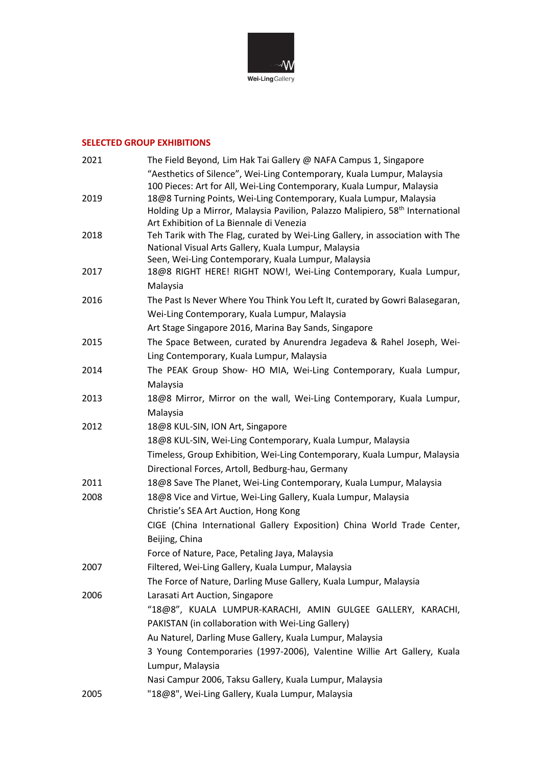

#### **SELECTED GROUP EXHIBITIONS**

| 2021 | The Field Beyond, Lim Hak Tai Gallery @ NAFA Campus 1, Singapore                                                                                 |
|------|--------------------------------------------------------------------------------------------------------------------------------------------------|
|      | "Aesthetics of Silence", Wei-Ling Contemporary, Kuala Lumpur, Malaysia<br>100 Pieces: Art for All, Wei-Ling Contemporary, Kuala Lumpur, Malaysia |
| 2019 | 18@8 Turning Points, Wei-Ling Contemporary, Kuala Lumpur, Malaysia                                                                               |
|      | Holding Up a Mirror, Malaysia Pavilion, Palazzo Malipiero, 58 <sup>th</sup> International                                                        |
|      | Art Exhibition of La Biennale di Venezia                                                                                                         |
| 2018 | Teh Tarik with The Flag, curated by Wei-Ling Gallery, in association with The                                                                    |
|      | National Visual Arts Gallery, Kuala Lumpur, Malaysia                                                                                             |
|      | Seen, Wei-Ling Contemporary, Kuala Lumpur, Malaysia                                                                                              |
| 2017 | 18@8 RIGHT HERE! RIGHT NOW!, Wei-Ling Contemporary, Kuala Lumpur,                                                                                |
|      | Malaysia                                                                                                                                         |
| 2016 | The Past Is Never Where You Think You Left It, curated by Gowri Balasegaran,                                                                     |
|      | Wei-Ling Contemporary, Kuala Lumpur, Malaysia                                                                                                    |
|      | Art Stage Singapore 2016, Marina Bay Sands, Singapore                                                                                            |
| 2015 | The Space Between, curated by Anurendra Jegadeva & Rahel Joseph, Wei-                                                                            |
|      | Ling Contemporary, Kuala Lumpur, Malaysia                                                                                                        |
| 2014 | The PEAK Group Show- HO MIA, Wei-Ling Contemporary, Kuala Lumpur,<br>Malaysia                                                                    |
| 2013 | 18@8 Mirror, Mirror on the wall, Wei-Ling Contemporary, Kuala Lumpur,                                                                            |
|      | Malaysia                                                                                                                                         |
| 2012 | 18@8 KUL-SIN, ION Art, Singapore                                                                                                                 |
|      | 18@8 KUL-SIN, Wei-Ling Contemporary, Kuala Lumpur, Malaysia                                                                                      |
|      | Timeless, Group Exhibition, Wei-Ling Contemporary, Kuala Lumpur, Malaysia                                                                        |
|      | Directional Forces, Artoll, Bedburg-hau, Germany                                                                                                 |
| 2011 | 18@8 Save The Planet, Wei-Ling Contemporary, Kuala Lumpur, Malaysia                                                                              |
| 2008 | 18@8 Vice and Virtue, Wei-Ling Gallery, Kuala Lumpur, Malaysia                                                                                   |
|      | Christie's SEA Art Auction, Hong Kong                                                                                                            |
|      | CIGE (China International Gallery Exposition) China World Trade Center,                                                                          |
|      | Beijing, China                                                                                                                                   |
|      | Force of Nature, Pace, Petaling Jaya, Malaysia                                                                                                   |
| 2007 | Filtered, Wei-Ling Gallery, Kuala Lumpur, Malaysia                                                                                               |
|      | The Force of Nature, Darling Muse Gallery, Kuala Lumpur, Malaysia                                                                                |
| 2006 | Larasati Art Auction, Singapore                                                                                                                  |
|      | "18@8", KUALA LUMPUR-KARACHI, AMIN GULGEE GALLERY, KARACHI,                                                                                      |
|      | PAKISTAN (in collaboration with Wei-Ling Gallery)                                                                                                |
|      | Au Naturel, Darling Muse Gallery, Kuala Lumpur, Malaysia                                                                                         |
|      | 3 Young Contemporaries (1997-2006), Valentine Willie Art Gallery, Kuala                                                                          |
|      | Lumpur, Malaysia                                                                                                                                 |
|      | Nasi Campur 2006, Taksu Gallery, Kuala Lumpur, Malaysia                                                                                          |
| 2005 | "18@8", Wei-Ling Gallery, Kuala Lumpur, Malaysia                                                                                                 |